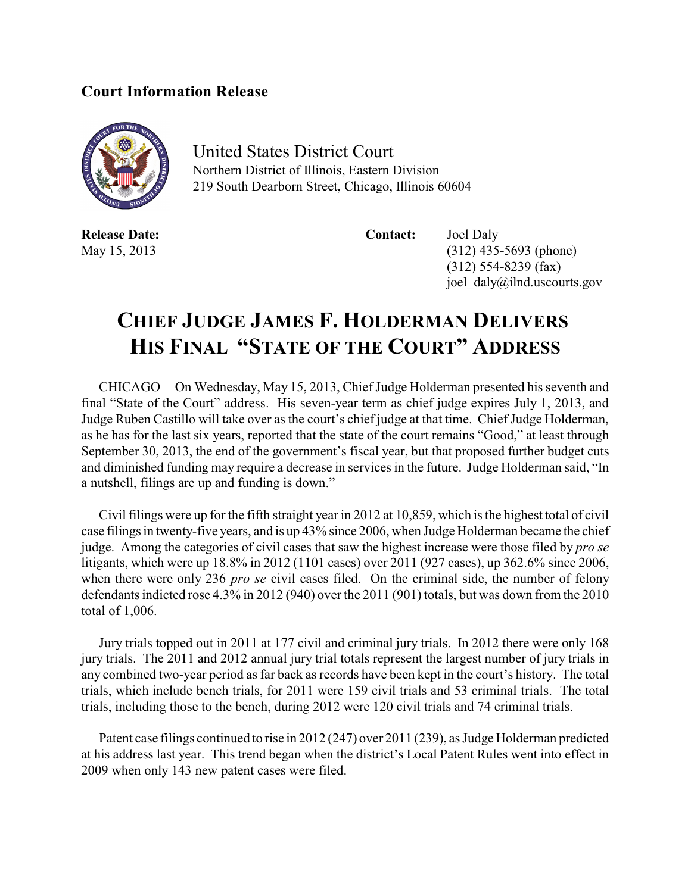## **Court Information Release**



United States District Court Northern District of Illinois, Eastern Division 219 South Dearborn Street, Chicago, Illinois 60604

**Release Date: Contact:** Joel Daly

May 15, 2013 (312) 435-5693 (phone) (312) 554-8239 (fax) joel\_daly@ilnd.uscourts.gov

## **CHIEF JUDGE JAMES F. HOLDERMAN DELIVERS HIS FINAL "STATE OF THE COURT" ADDRESS**

CHICAGO – On Wednesday, May 15, 2013, Chief Judge Holderman presented his seventh and final "State of the Court" address. His seven-year term as chief judge expires July 1, 2013, and Judge Ruben Castillo will take over as the court's chief judge at that time. Chief Judge Holderman, as he has for the last six years, reported that the state of the court remains "Good," at least through September 30, 2013, the end of the government's fiscal year, but that proposed further budget cuts and diminished funding may require a decrease in services in the future. Judge Holderman said, "In a nutshell, filings are up and funding is down."

Civil filings were up for the fifth straight year in 2012 at 10,859, which is the highest total of civil case filings in twenty-five years, and is up 43% since 2006, when Judge Holderman became the chief judge. Among the categories of civil cases that saw the highest increase were those filed by *pro se* litigants, which were up 18.8% in 2012 (1101 cases) over 2011 (927 cases), up 362.6% since 2006, when there were only 236 *pro se* civil cases filed. On the criminal side, the number of felony defendants indicted rose 4.3% in 2012 (940) over the 2011 (901) totals, but was down from the 2010 total of 1,006.

Jury trials topped out in 2011 at 177 civil and criminal jury trials. In 2012 there were only 168 jury trials. The 2011 and 2012 annual jury trial totals represent the largest number of jury trials in any combined two-year period as far back as records have been kept in the court's history. The total trials, which include bench trials, for 2011 were 159 civil trials and 53 criminal trials. The total trials, including those to the bench, during 2012 were 120 civil trials and 74 criminal trials.

Patent case filings continued to rise in 2012 (247) over 2011 (239), as Judge Holderman predicted at his address last year. This trend began when the district's Local Patent Rules went into effect in 2009 when only 143 new patent cases were filed.